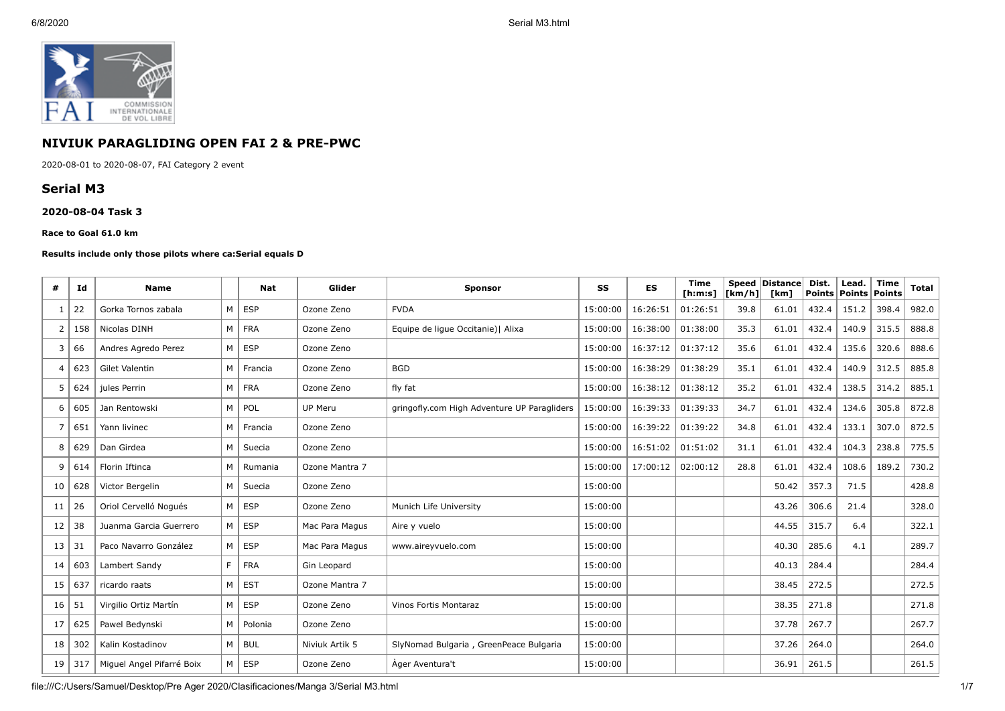

# **NIVIUK PARAGLIDING OPEN FAI 2 & PRE-PWC**

2020-08-01 to 2020-08-07, FAI Category 2 event

# **Serial M3**

### **2020-08-04 Task 3**

#### **Race to Goal 61.0 km**

#### **Results include only those pilots where ca:Serial equals D**

| #  | Id  | <b>Name</b>               |    | <b>Nat</b> | Glider         | <b>Sponsor</b>                              | SS       | <b>ES</b> | <b>Time</b><br>[ <b>h</b> : <b>m</b> : <b>s</b> ] | [km/h] | Speed Distance<br>[km] | Dist.<br><b>Points</b> | Lead.<br>Points | <b>Time</b><br>Points | <b>Total</b> |
|----|-----|---------------------------|----|------------|----------------|---------------------------------------------|----------|-----------|---------------------------------------------------|--------|------------------------|------------------------|-----------------|-----------------------|--------------|
| -1 | 22  | Gorka Tornos zabala       | M  | <b>ESP</b> | Ozone Zeno     | <b>FVDA</b>                                 | 15:00:00 | 16:26:51  | 01:26:51                                          | 39.8   | 61.01                  | 432.4                  | 151.2           | 398.4                 | 982.0        |
| 2  | 158 | Nicolas DINH              | M  | <b>FRA</b> | Ozone Zeno     | Equipe de lique Occitanie)   Alixa          | 15:00:00 | 16:38:00  | 01:38:00                                          | 35.3   | 61.01                  | 432.4                  | 140.9           | 315.5                 | 888.8        |
| 3  | 66  | Andres Agredo Perez       | M  | <b>ESP</b> | Ozone Zeno     |                                             | 15:00:00 | 16:37:12  | 01:37:12                                          | 35.6   | 61.01                  | 432.4                  | 135.6           | 320.6                 | 888.6        |
| 4  | 623 | Gilet Valentin            | M  | Francia    | Ozone Zeno     | <b>BGD</b>                                  | 15:00:00 | 16:38:29  | 01:38:29                                          | 35.1   | 61.01                  | 432.4                  | 140.9           | 312.5                 | 885.8        |
| 5  | 624 | jules Perrin              | M  | <b>FRA</b> | Ozone Zeno     | fly fat                                     | 15:00:00 | 16:38:12  | 01:38:12                                          | 35.2   | 61.01                  | 432.4                  | 138.5           | 314.2                 | 885.1        |
| 6  | 605 | Jan Rentowski             | M  | POL        | UP Meru        | gringofly.com High Adventure UP Paragliders | 15:00:00 | 16:39:33  | 01:39:33                                          | 34.7   | 61.01                  | 432.4                  | 134.6           | 305.8                 | 872.8        |
| 7  | 651 | Yann livinec              | M  | Francia    | Ozone Zeno     |                                             | 15:00:00 | 16:39:22  | 01:39:22                                          | 34.8   | 61.01                  | 432.4                  | 133.1           | 307.0                 | 872.5        |
| 8  | 629 | Dan Girdea                | M  | Suecia     | Ozone Zeno     |                                             | 15:00:00 | 16:51:02  | 01:51:02                                          | 31.1   | 61.01                  | 432.4                  | 104.3           | 238.8                 | 775.5        |
| 9  | 614 | Florin Iftinca            | M  | Rumania    | Ozone Mantra 7 |                                             | 15:00:00 | 17:00:12  | 02:00:12                                          | 28.8   | 61.01                  | 432.4                  | 108.6           | 189.2                 | 730.2        |
| 10 | 628 | Victor Bergelin           | M  | Suecia     | Ozone Zeno     |                                             | 15:00:00 |           |                                                   |        | 50.42                  | 357.3                  | 71.5            |                       | 428.8        |
| 11 | 26  | Oriol Cervelló Nogués     | M  | <b>ESP</b> | Ozone Zeno     | Munich Life University                      | 15:00:00 |           |                                                   |        | 43.26                  | 306.6                  | 21.4            |                       | 328.0        |
| 12 | 38  | Juanma Garcia Guerrero    | M  | <b>ESP</b> | Mac Para Magus | Aire y vuelo                                | 15:00:00 |           |                                                   |        | 44.55                  | 315.7                  | 6.4             |                       | 322.1        |
| 13 | 31  | Paco Navarro González     | М  | <b>ESP</b> | Mac Para Magus | www.aireyvuelo.com                          | 15:00:00 |           |                                                   |        | 40.30                  | 285.6                  | 4.1             |                       | 289.7        |
| 14 | 603 | Lambert Sandy             | F. | <b>FRA</b> | Gin Leopard    |                                             | 15:00:00 |           |                                                   |        | 40.13                  | 284.4                  |                 |                       | 284.4        |
| 15 | 637 | ricardo raats             | M  | <b>EST</b> | Ozone Mantra 7 |                                             | 15:00:00 |           |                                                   |        | 38.45                  | 272.5                  |                 |                       | 272.5        |
| 16 | 51  | Virgilio Ortiz Martín     | M  | <b>ESP</b> | Ozone Zeno     | Vinos Fortis Montaraz                       | 15:00:00 |           |                                                   |        | 38.35                  | 271.8                  |                 |                       | 271.8        |
| 17 | 625 | Pawel Bedvnski            | M  | Polonia    | Ozone Zeno     |                                             | 15:00:00 |           |                                                   |        | 37.78                  | 267.7                  |                 |                       | 267.7        |
| 18 | 302 | Kalin Kostadinov          | M  | <b>BUL</b> | Niviuk Artik 5 | SlyNomad Bulgaria, GreenPeace Bulgaria      | 15:00:00 |           |                                                   |        | 37.26                  | 264.0                  |                 |                       | 264.0        |
| 19 | 317 | Miquel Angel Pifarré Boix | M  | <b>ESP</b> | Ozone Zeno     | Ager Aventura't                             | 15:00:00 |           |                                                   |        | 36.91                  | 261.5                  |                 |                       | 261.5        |

file:///C:/Users/Samuel/Desktop/Pre Ager 2020/Clasificaciones/Manga 3/Serial M3.html 1/7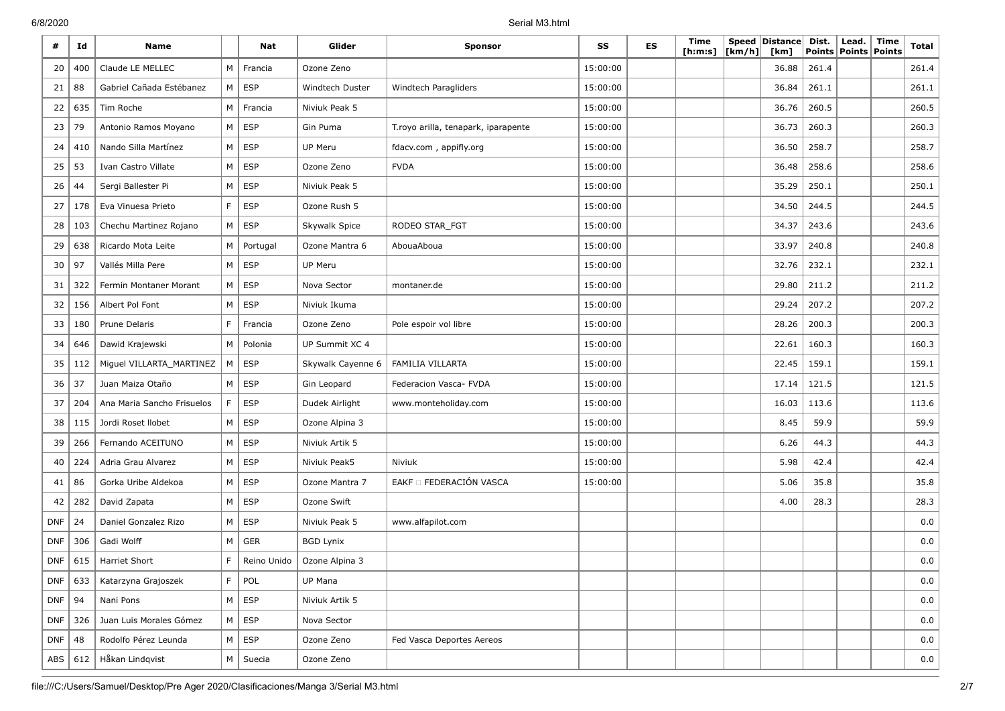6/8/2020 Serial M3.html

| #          | Id  | <b>Name</b>                |             | Nat              | Glider            | <b>Sponsor</b>                      | SS       | <b>ES</b> | <b>Time</b><br>[ <b>h</b> : <b>m</b> : <b>s</b> ] | [km/h] | Speed Distance<br>[km] | Dist.<br><b>Points</b> | Lead.<br><b>Points Points</b> | Time | Total    |
|------------|-----|----------------------------|-------------|------------------|-------------------|-------------------------------------|----------|-----------|---------------------------------------------------|--------|------------------------|------------------------|-------------------------------|------|----------|
| 20         | 400 | Claude LE MELLEC           | M           | Francia          | Ozone Zeno        |                                     | 15:00:00 |           |                                                   |        | 36.88                  | 261.4                  |                               |      | 261.4    |
| 21         | 88  | Gabriel Cañada Estébanez   | M           | <b>ESP</b>       | Windtech Duster   | Windtech Paragliders                | 15:00:00 |           |                                                   |        | 36.84                  | 261.1                  |                               |      | 261.1    |
| 22         | 635 | Tim Roche                  | M           | Francia          | Niviuk Peak 5     |                                     | 15:00:00 |           |                                                   |        | 36.76                  | 260.5                  |                               |      | 260.5    |
| 23         | 79  | Antonio Ramos Moyano       | M           | <b>ESP</b>       | Gin Puma          | T.royo arilla, tenapark, iparapente | 15:00:00 |           |                                                   |        | 36.73                  | 260.3                  |                               |      | 260.3    |
| 24         | 410 | Nando Silla Martínez       | M           | <b>ESP</b>       | <b>UP Meru</b>    | fdacv.com, appifly.org              | 15:00:00 |           |                                                   |        | 36.50                  | 258.7                  |                               |      | 258.7    |
| 25         | 53  | Ivan Castro Villate        | M           | <b>ESP</b>       | Ozone Zeno        | <b>FVDA</b>                         | 15:00:00 |           |                                                   |        | 36.48                  | 258.6                  |                               |      | 258.6    |
| 26         | 44  | Sergi Ballester Pi         | M           | <b>ESP</b>       | Niviuk Peak 5     |                                     | 15:00:00 |           |                                                   |        | 35.29                  | 250.1                  |                               |      | 250.1    |
| 27         | 178 | Eva Vinuesa Prieto         | $\mathsf F$ | <b>ESP</b>       | Ozone Rush 5      |                                     | 15:00:00 |           |                                                   |        | 34.50                  | 244.5                  |                               |      | 244.5    |
| 28         | 103 | Chechu Martinez Rojano     | M           | <b>ESP</b>       | Skywalk Spice     | RODEO STAR_FGT                      | 15:00:00 |           |                                                   |        | 34.37                  | 243.6                  |                               |      | 243.6    |
| 29         | 638 | Ricardo Mota Leite         | M           | Portugal         | Ozone Mantra 6    | AbouaAboua                          | 15:00:00 |           |                                                   |        | 33.97                  | 240.8                  |                               |      | 240.8    |
| 30         | 97  | Vallés Milla Pere          | M           | <b>ESP</b>       | UP Meru           |                                     | 15:00:00 |           |                                                   |        | 32.76                  | 232.1                  |                               |      | 232.1    |
| 31         | 322 | Fermin Montaner Morant     | M           | <b>ESP</b>       | Nova Sector       | montaner.de                         | 15:00:00 |           |                                                   |        | 29.80                  | 211.2                  |                               |      | 211.2    |
| 32         | 156 | Albert Pol Font            | M           | <b>ESP</b>       | Niviuk Ikuma      |                                     | 15:00:00 |           |                                                   |        | 29.24                  | 207.2                  |                               |      | 207.2    |
| 33         | 180 | Prune Delaris              | F           | Francia          | Ozone Zeno        | Pole espoir vol libre               | 15:00:00 |           |                                                   |        | 28.26                  | 200.3                  |                               |      | 200.3    |
| 34         | 646 | Dawid Krajewski            | M           | Polonia          | UP Summit XC 4    |                                     | 15:00:00 |           |                                                   |        | 22.61                  | 160.3                  |                               |      | 160.3    |
| 35         | 112 | Miguel VILLARTA MARTINEZ   | M           | <b>ESP</b>       | Skywalk Cayenne 6 | FAMILIA VILLARTA                    | 15:00:00 |           |                                                   |        | 22.45                  | 159.1                  |                               |      | 159.1    |
| 36         | 37  | Juan Maiza Otaño           | M           | <b>ESP</b>       | Gin Leopard       | Federacion Vasca- FVDA              | 15:00:00 |           |                                                   |        | 17.14                  | 121.5                  |                               |      | 121.5    |
| 37         | 204 | Ana Maria Sancho Frisuelos | F           | <b>ESP</b>       | Dudek Airlight    | www.monteholiday.com                | 15:00:00 |           |                                                   |        | 16.03                  | 113.6                  |                               |      | 113.6    |
| 38         | 115 | Jordi Roset Ilobet         | M           | <b>ESP</b>       | Ozone Alpina 3    |                                     | 15:00:00 |           |                                                   |        | 8.45                   | 59.9                   |                               |      | 59.9     |
| 39         | 266 | Fernando ACEITUNO          | M           | <b>ESP</b>       | Niviuk Artik 5    |                                     | 15:00:00 |           |                                                   |        | 6.26                   | 44.3                   |                               |      | 44.3     |
| 40         | 224 | Adria Grau Alvarez         | M           | <b>ESP</b>       | Niviuk Peak5      | Niviuk                              | 15:00:00 |           |                                                   |        | 5.98                   | 42.4                   |                               |      | 42.4     |
| 41         | 86  | Gorka Uribe Aldekoa        | M           | <b>ESP</b>       | Ozone Mantra 7    | EAKF O FEDERACIÓN VASCA             | 15:00:00 |           |                                                   |        | 5.06                   | 35.8                   |                               |      | 35.8     |
| 42         | 282 | David Zapata               | M           | <b>ESP</b>       | Ozone Swift       |                                     |          |           |                                                   |        | 4.00                   | 28.3                   |                               |      | 28.3     |
| <b>DNF</b> | 24  | Daniel Gonzalez Rizo       | M           | <b>ESP</b>       | Niviuk Peak 5     | www.alfapilot.com                   |          |           |                                                   |        |                        |                        |                               |      | $_{0.0}$ |
| <b>DNF</b> | 306 | Gadi Wolff                 | М           | <b>GER</b>       | <b>BGD Lynix</b>  |                                     |          |           |                                                   |        |                        |                        |                               |      | $0.0\,$  |
| <b>DNF</b> | 615 | Harriet Short              | F           | Reino Unido      | Ozone Alpina 3    |                                     |          |           |                                                   |        |                        |                        |                               |      | 0.0      |
| DNF        | 633 | Katarzyna Grajoszek        | F.          | POL              | UP Mana           |                                     |          |           |                                                   |        |                        |                        |                               |      | 0.0      |
| <b>DNF</b> | 94  | Nani Pons                  | M           | ESP              | Niviuk Artik 5    |                                     |          |           |                                                   |        |                        |                        |                               |      | 0.0      |
| DNF        | 326 | Juan Luis Morales Gómez    | M           | ESP              | Nova Sector       |                                     |          |           |                                                   |        |                        |                        |                               |      | 0.0      |
| <b>DNF</b> | 48  | Rodolfo Pérez Leunda       | M           | ESP              | Ozone Zeno        | Fed Vasca Deportes Aereos           |          |           |                                                   |        |                        |                        |                               |      | 0.0      |
| ABS        | 612 | Håkan Lindqvist            |             | $M \vert$ Suecia | Ozone Zeno        |                                     |          |           |                                                   |        |                        |                        |                               |      | 0.0      |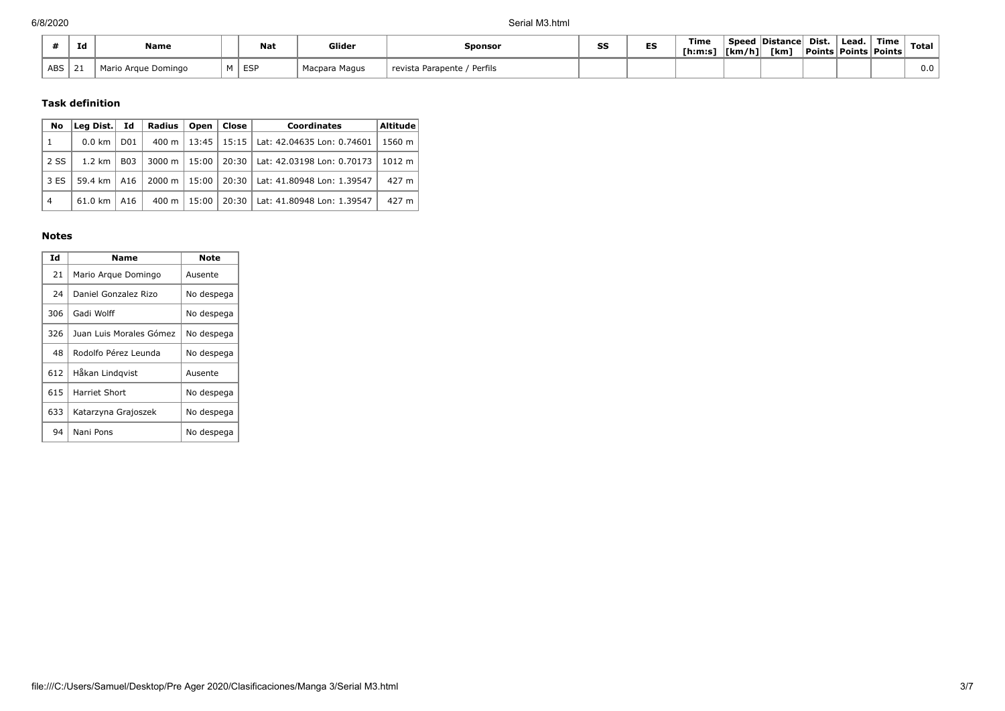|            | Id           | Name                |          | <b>Nat</b> | Glider           | <b>Sponsor</b>               |  | Time<br>Th:m:s | $\lfloor \frac{km}{h} \rfloor$ | <b>Speed Distance</b><br>[km] | Dist. | Lead.<br>  Points   Points   Points | Time | <b>Total</b> |
|------------|--------------|---------------------|----------|------------|------------------|------------------------------|--|----------------|--------------------------------|-------------------------------|-------|-------------------------------------|------|--------------|
| <b>ABS</b> | $\sim$<br>-4 | Mario Argue Domingo | <b>A</b> | ESI<br>ات∟ | Macpara<br>Magus | Perfils<br>revista Parapente |  |                |                                |                               |       |                                     |      | 0.0          |

# **Task definition**

| No             | Lea Dist.                                  | Id<br>Radius<br>Open<br>Close  <br><b>Coordinates</b> |                         |         |                            |                            | Altitude |
|----------------|--------------------------------------------|-------------------------------------------------------|-------------------------|---------|----------------------------|----------------------------|----------|
| 1              | $0.0 \text{ km}$                           | D <sub>0</sub> 1                                      | 400 m                   |         | $13:45$   15:15            | Lat: 42.04635 Lon: 0.74601 | 1560 m   |
| 2 SS           | $1.2 \text{ km}$                           | <b>B03</b>                                            | $3000 \; \text{m}$      | $15:00$ | 20:30                      | Lat: 42.03198 Lon: 0.70173 | 1012 m   |
| 3 ES           | 59.4 km<br>A16<br>$61.0 \text{ km}$<br>A16 |                                                       | $2000 \; \text{m}$      | 15:00   | 20:30                      | Lat: 41.80948 Lon: 1.39547 | 427 m    |
| $\overline{4}$ |                                            |                                                       | 20:30<br>15:00<br>400 m |         | Lat: 41.80948 Lon: 1.39547 | 427 m                      |          |

### **Notes**

| Id  | Name                    | Note       |
|-----|-------------------------|------------|
| 21  | Mario Argue Domingo     | Ausente    |
| 24  | Daniel Gonzalez Rizo    | No despega |
| 306 | Gadi Wolff              | No despega |
| 326 | Juan Luis Morales Gómez | No despega |
| 48  | Rodolfo Pérez Leunda    | No despega |
| 612 | Håkan Lindqvist         | Ausente    |
| 615 | Harriet Short           | No despega |
| 633 | Katarzyna Grajoszek     | No despega |
| 94  | Nani Pons               | No despega |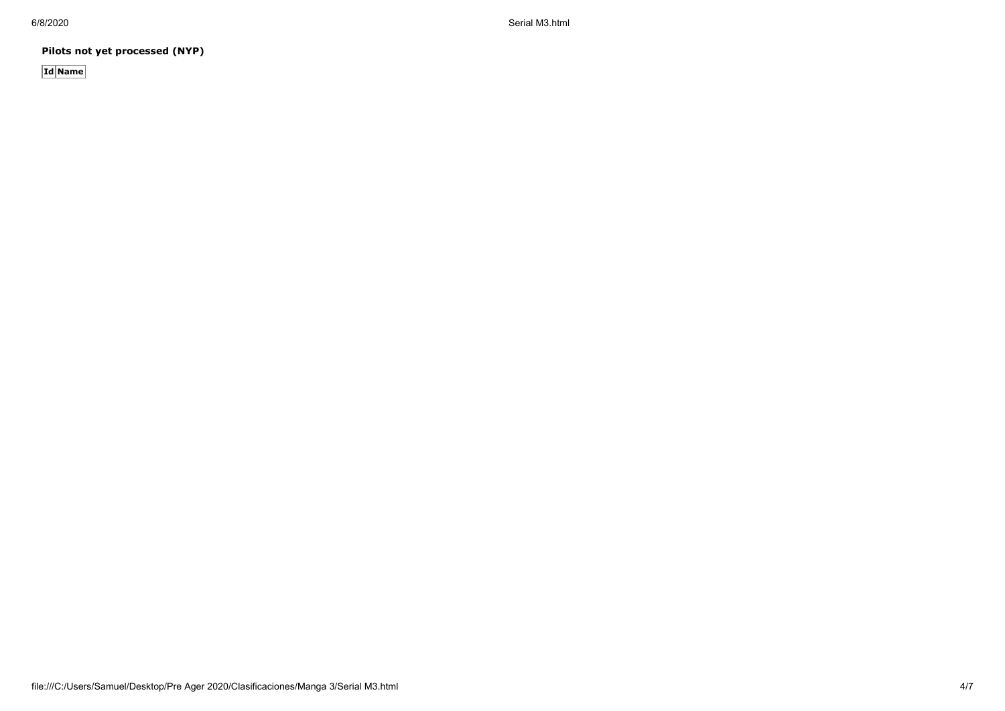6/8/2020 Serial M3.html

**Pilots not yet processed (NYP)**

**Id Name**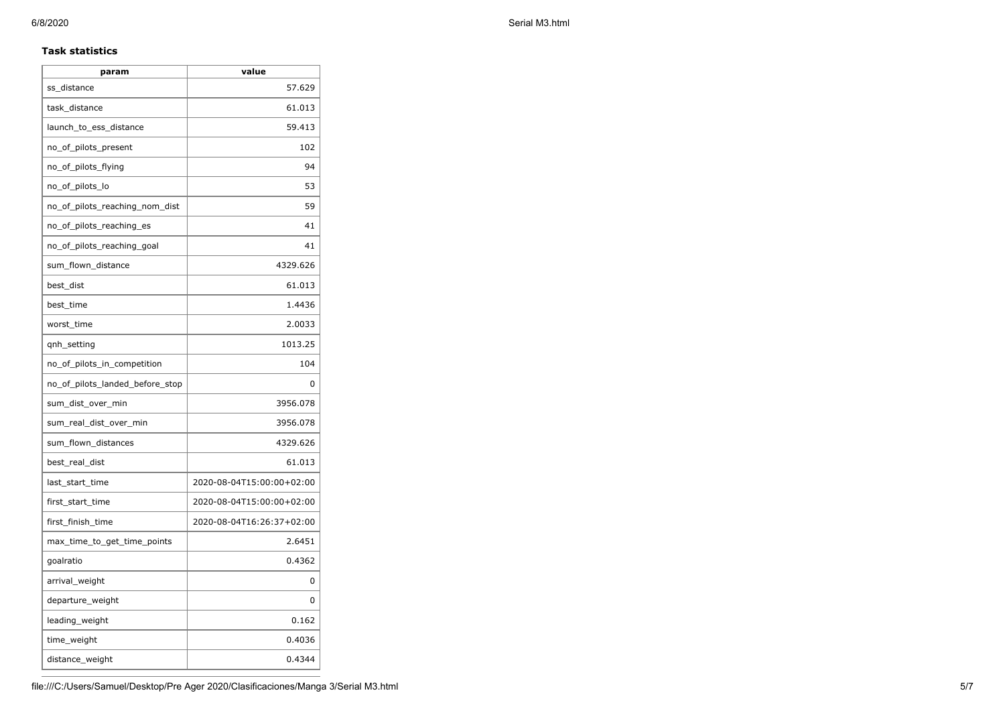## **Task statistics**

| param                           | value                     |
|---------------------------------|---------------------------|
| ss_distance                     | 57.629                    |
| task distance                   | 61.013                    |
| launch_to_ess_distance          | 59.413                    |
| no_of_pilots_present            | 102                       |
| no_of_pilots_flying             | 94                        |
| no_of_pilots_lo                 | 53                        |
| no_of_pilots_reaching_nom_dist  | 59                        |
| no_of_pilots_reaching_es        | 41                        |
| no_of_pilots_reaching_goal      | 41                        |
| sum_flown_distance              | 4329.626                  |
| best_dist                       | 61.013                    |
| best time                       | 1.4436                    |
| worst time                      | 2.0033                    |
| qnh_setting                     | 1013.25                   |
| no_of_pilots_in_competition     | 104                       |
| no_of_pilots_landed_before_stop | 0                         |
| sum_dist_over_min               | 3956.078                  |
| sum_real_dist_over_min          | 3956.078                  |
| sum_flown_distances             | 4329.626                  |
| best_real_dist                  | 61.013                    |
| last_start_time                 | 2020-08-04T15:00:00+02:00 |
| first_start_time                | 2020-08-04T15:00:00+02:00 |
| first_finish_time               | 2020-08-04T16:26:37+02:00 |
| max_time_to_get_time_points     | 2.6451                    |
| goalratio                       | 0.4362                    |
| arrival_weight                  | 0                         |
| departure_weight                | 0                         |
| leading_weight                  | 0.162                     |
| time_weight                     | 0.4036                    |
| distance_weight                 | 0.4344                    |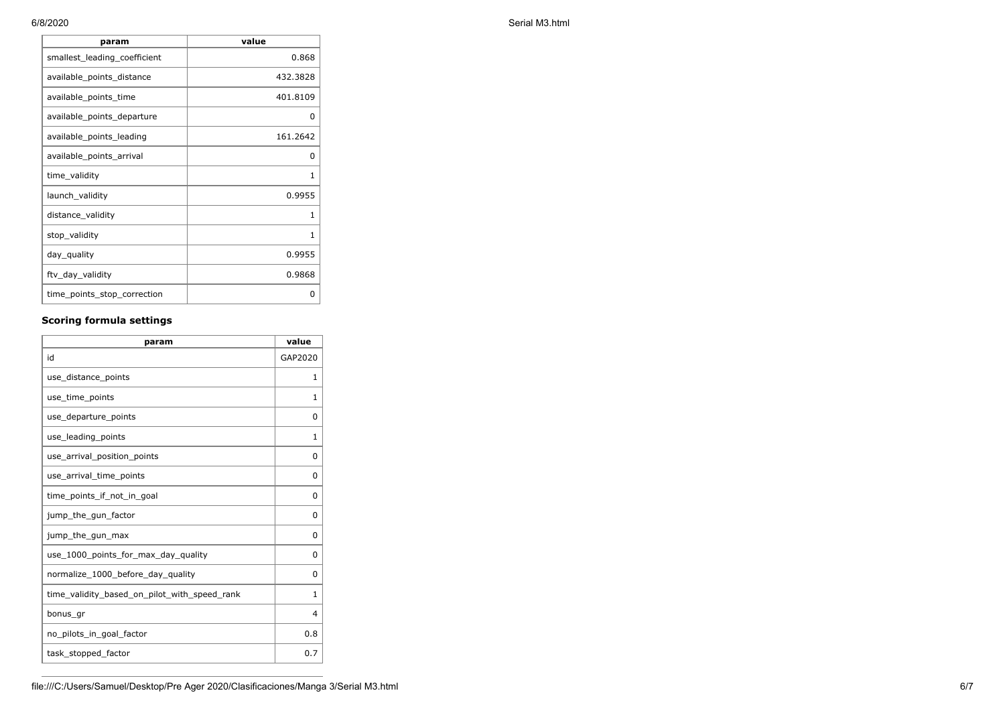| param                        | value        |
|------------------------------|--------------|
| smallest_leading_coefficient | 0.868        |
| available_points_distance    | 432.3828     |
| available_points_time        | 401.8109     |
| available_points_departure   | ŋ            |
| available points leading     | 161.2642     |
| available_points_arrival     | 0            |
| time_validity                | 1            |
| launch_validity              | 0.9955       |
| distance_validity            | 1            |
| stop_validity                | $\mathbf{1}$ |
| day_quality                  | 0.9955       |
| ftv_day_validity             | 0.9868       |
| time_points_stop_correction  | 0            |

# **Scoring formula settings**

| param                                        | value    |
|----------------------------------------------|----------|
| id                                           | GAP2020  |
| use_distance_points                          | 1        |
| use_time_points                              | 1        |
| use_departure_points                         | $\Omega$ |
| use_leading_points                           | 1        |
| use_arrival_position_points                  | 0        |
| use_arrival_time_points                      | 0        |
| time points if not in goal                   | $\Omega$ |
| jump_the_gun_factor                          | $\Omega$ |
| jump_the_gun_max                             | 0        |
| use 1000 points for max day quality          | $\Omega$ |
| normalize_1000_before_day_quality            | 0        |
| time_validity_based_on_pilot_with_speed_rank | 1        |
| bonus_gr                                     | 4        |
| no_pilots_in_goal_factor                     | 0.8      |
| task_stopped_factor                          | 0.7      |

6/8/2020 Serial M3.html